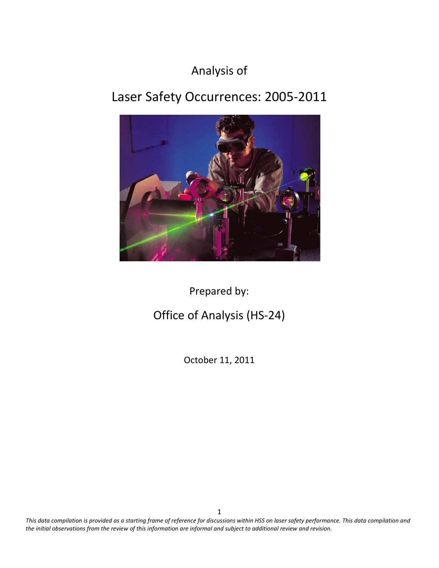# Analysis of

# Laser Safety Occurrences: 2005-2011



Prepared by:

# Office of Analysis (HS-24)

October 11, 2011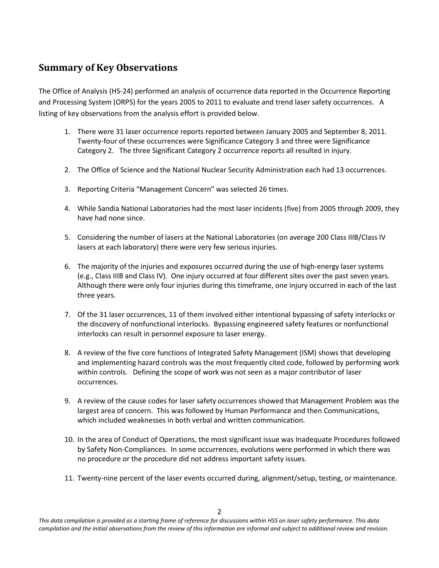# <span id="page-1-0"></span>**Summary of Key Observations**

The Office of Analysis (HS-24) performed an analysis of occurrence data reported in the Occurrence Reporting and Processing System (ORPS) for the years 2005 to 2011 to evaluate and trend laser safety occurrences. A listing of key observations from the analysis effort is provided below.

- 1. There were 31 laser occurrence reports reported between January 2005 and September 8, 2011. Twenty-four of these occurrences were Significance Category 3 and three were Significance Category 2. The three Significant Category 2 occurrence reports all resulted in injury.
- 2. The Office of Science and the National Nuclear Security Administration each had 13 occurrences.
- 3. Reporting Criteria "Management Concern" was selected 26 times.
- 4. While Sandia National Laboratories had the most laser incidents (five) from 2005 through 2009, they have had none since.
- 5. Considering the number of lasers at the National Laboratories (on average 200 Class IIIB/Class IV lasers at each laboratory) there were very few serious injuries.
- 6. The majority of the injuries and exposures occurred during the use of high-energy laser systems (e.g., Class IIIB and Class IV). One injury occurred at four different sites over the past seven years. Although there were only four injuries during this timeframe, one injury occurred in each of the last three years.
- 7. Of the 31 laser occurrences, 11 of them involved either intentional bypassing of safety interlocks or the discovery of nonfunctional interlocks. Bypassing engineered safety features or nonfunctional interlocks can result in personnel exposure to laser energy.
- 8. A review of the five core functions of Integrated Safety Management (ISM) shows that developing and implementing hazard controls was the most frequently cited code, followed by performing work within controls. Defining the scope of work was not seen as a major contributor of laser occurrences.
- 9. A review of the cause codes for laser safety occurrences showed that Management Problem was the largest area of concern. This was followed by Human Performance and then Communications, which included weaknesses in both verbal and written communication.
- 10. In the area of Conduct of Operations, the most significant issue was Inadequate Procedures followed by Safety Non-Compliances. In some occurrences, evolutions were performed in which there was no procedure or the procedure did not address important safety issues.
- 11. Twenty-nine percent of the laser events occurred during, alignment/setup, testing, or maintenance.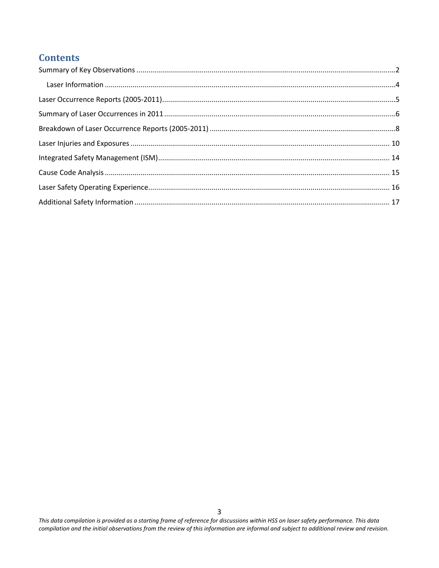# **Contents**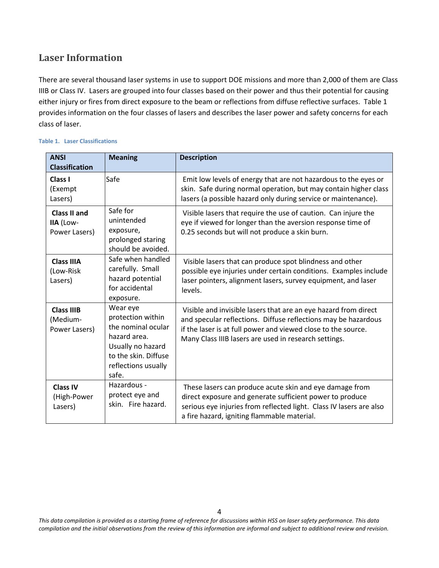# <span id="page-3-0"></span>**Laser Information**

There are several thousand laser systems in use to support DOE missions and more than 2,000 of them are Class IIIB or Class IV. Lasers are grouped into four classes based on their power and thus their potential for causing either injury or fires from direct exposure to the beam or reflections from diffuse reflective surfaces. Table 1 provides information on the four classes of lasers and describes the laser power and safety concerns for each class of laser.

| <b>ANSI</b><br><b>Classification</b>              | <b>Meaning</b>                                                                                                                                   | <b>Description</b>                                                                                                                                                                                                                                          |  |  |
|---------------------------------------------------|--------------------------------------------------------------------------------------------------------------------------------------------------|-------------------------------------------------------------------------------------------------------------------------------------------------------------------------------------------------------------------------------------------------------------|--|--|
| Class I<br>(Exempt<br>Lasers)                     | Safe                                                                                                                                             | Emit low levels of energy that are not hazardous to the eyes or<br>skin. Safe during normal operation, but may contain higher class<br>lasers (a possible hazard only during service or maintenance).                                                       |  |  |
| <b>Class II and</b><br>IIA (Low-<br>Power Lasers) | Safe for<br>unintended<br>exposure,<br>prolonged staring<br>should be avoided.                                                                   | Visible lasers that require the use of caution. Can injure the<br>eye if viewed for longer than the aversion response time of<br>0.25 seconds but will not produce a skin burn.                                                                             |  |  |
| <b>Class IIIA</b><br>(Low-Risk<br>Lasers)         | Safe when handled<br>carefully. Small<br>hazard potential<br>for accidental<br>exposure.                                                         | Visible lasers that can produce spot blindness and other<br>possible eye injuries under certain conditions. Examples include<br>laser pointers, alignment lasers, survey equipment, and laser<br>levels.                                                    |  |  |
| <b>Class IIIB</b><br>(Medium-<br>Power Lasers)    | Wear eye<br>protection within<br>the nominal ocular<br>hazard area.<br>Usually no hazard<br>to the skin. Diffuse<br>reflections usually<br>safe. | Visible and invisible lasers that are an eye hazard from direct<br>and specular reflections. Diffuse reflections may be hazardous<br>if the laser is at full power and viewed close to the source.<br>Many Class IIIB lasers are used in research settings. |  |  |
| <b>Class IV</b><br>(High-Power<br>Lasers)         | Hazardous -<br>protect eye and<br>skin. Fire hazard.                                                                                             | These lasers can produce acute skin and eye damage from<br>direct exposure and generate sufficient power to produce<br>serious eye injuries from reflected light. Class IV lasers are also<br>a fire hazard, igniting flammable material.                   |  |  |

### **Table 1. Laser Classifications**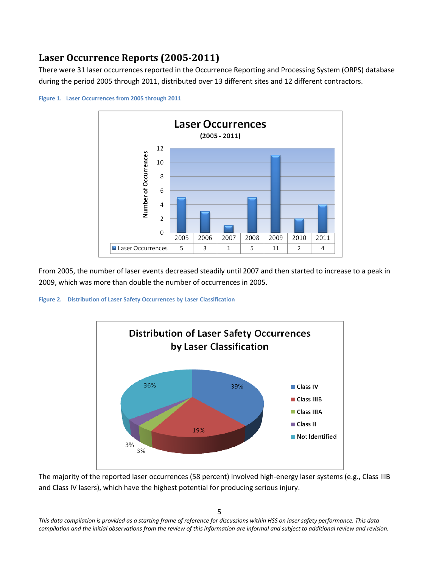# <span id="page-4-0"></span>**Laser Occurrence Reports (2005-2011)**

There were 31 laser occurrences reported in the Occurrence Reporting and Processing System (ORPS) database during the period 2005 through 2011, distributed over 13 different sites and 12 different contractors.



**Figure 1. Laser Occurrences from 2005 through 2011**

From 2005, the number of laser events decreased steadily until 2007 and then started to increase to a peak in 2009, which was more than double the number of occurrences in 2005.

**Figure 2. Distribution of Laser Safety Occurrences by Laser Classification**



The majority of the reported laser occurrences (58 percent) involved high-energy laser systems (e.g., Class IIIB and Class IV lasers), which have the highest potential for producing serious injury.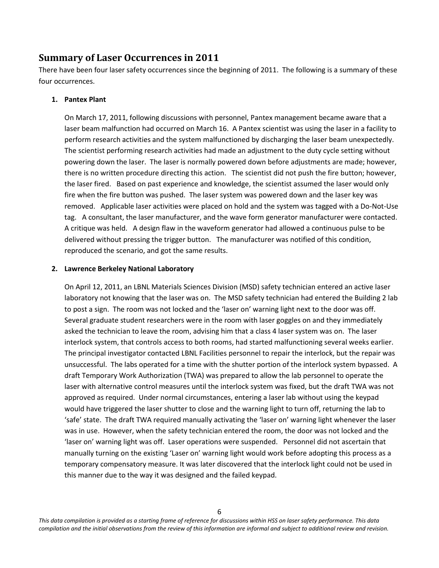### <span id="page-5-0"></span>**Summary of Laser Occurrences in 2011**

There have been four laser safety occurrences since the beginning of 2011. The following is a summary of these four occurrences.

### **1. Pantex Plant**

On March 17, 2011, following discussions with personnel, Pantex management became aware that a laser beam malfunction had occurred on March 16. A Pantex scientist was using the laser in a facility to perform research activities and the system malfunctioned by discharging the laser beam unexpectedly. The scientist performing research activities had made an adjustment to the duty cycle setting without powering down the laser. The laser is normally powered down before adjustments are made; however, there is no written procedure directing this action. The scientist did not push the fire button; however, the laser fired. Based on past experience and knowledge, the scientist assumed the laser would only fire when the fire button was pushed. The laser system was powered down and the laser key was removed. Applicable laser activities were placed on hold and the system was tagged with a Do-Not-Use tag. A consultant, the laser manufacturer, and the wave form generator manufacturer were contacted. A critique was held. A design flaw in the waveform generator had allowed a continuous pulse to be delivered without pressing the trigger button. The manufacturer was notified of this condition, reproduced the scenario, and got the same results.

### **2. Lawrence Berkeley National Laboratory**

On April 12, 2011, an LBNL Materials Sciences Division (MSD) safety technician entered an active laser laboratory not knowing that the laser was on. The MSD safety technician had entered the Building 2 lab to post a sign. The room was not locked and the 'laser on' warning light next to the door was off. Several graduate student researchers were in the room with laser goggles on and they immediately asked the technician to leave the room, advising him that a class 4 laser system was on. The laser interlock system, that controls access to both rooms, had started malfunctioning several weeks earlier. The principal investigator contacted LBNL Facilities personnel to repair the interlock, but the repair was unsuccessful. The labs operated for a time with the shutter portion of the interlock system bypassed. A draft Temporary Work Authorization (TWA) was prepared to allow the lab personnel to operate the laser with alternative control measures until the interlock system was fixed, but the draft TWA was not approved as required. Under normal circumstances, entering a laser lab without using the keypad would have triggered the laser shutter to close and the warning light to turn off, returning the lab to 'safe' state. The draft TWA required manually activating the 'laser on' warning light whenever the laser was in use. However, when the safety technician entered the room, the door was not locked and the 'laser on' warning light was off. Laser operations were suspended. Personnel did not ascertain that manually turning on the existing 'Laser on' warning light would work before adopting this process as a temporary compensatory measure. It was later discovered that the interlock light could not be used in this manner due to the way it was designed and the failed keypad.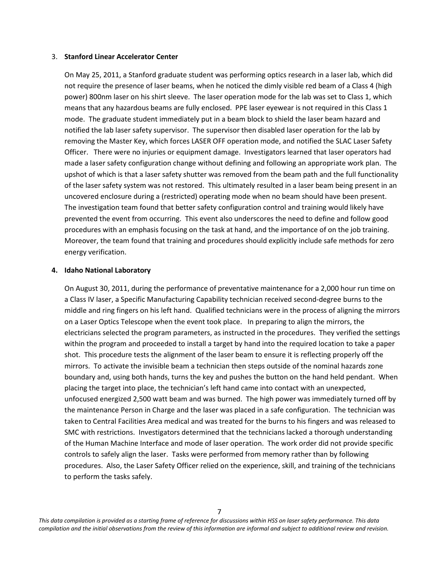#### 3. **Stanford Linear Accelerator Center**

On May 25, 2011, a Stanford graduate student was performing optics research in a laser lab, which did not require the presence of laser beams, when he noticed the dimly visible red beam of a Class 4 (high power) 800nm laser on his shirt sleeve. The laser operation mode for the lab was set to Class 1, which means that any hazardous beams are fully enclosed. PPE laser eyewear is not required in this Class 1 mode. The graduate student immediately put in a beam block to shield the laser beam hazard and notified the lab laser safety supervisor. The supervisor then disabled laser operation for the lab by removing the Master Key, which forces LASER OFF operation mode, and notified the SLAC Laser Safety Officer. There were no injuries or equipment damage. Investigators learned that laser operators had made a laser safety configuration change without defining and following an appropriate work plan. The upshot of which is that a laser safety shutter was removed from the beam path and the full functionality of the laser safety system was not restored. This ultimately resulted in a laser beam being present in an uncovered enclosure during a (restricted) operating mode when no beam should have been present. The investigation team found that better safety configuration control and training would likely have prevented the event from occurring. This event also underscores the need to define and follow good procedures with an emphasis focusing on the task at hand, and the importance of on the job training. Moreover, the team found that training and procedures should explicitly include safe methods for zero energy verification.

### **4. Idaho National Laboratory**

On August 30, 2011, during the performance of preventative maintenance for a 2,000 hour run time on a Class IV laser, a Specific Manufacturing Capability technician received second-degree burns to the middle and ring fingers on his left hand. Qualified technicians were in the process of aligning the mirrors on a Laser Optics Telescope when the event took place. In preparing to align the mirrors, the electricians selected the program parameters, as instructed in the procedures. They verified the settings within the program and proceeded to install a target by hand into the required location to take a paper shot. This procedure tests the alignment of the laser beam to ensure it is reflecting properly off the mirrors. To activate the invisible beam a technician then steps outside of the nominal hazards zone boundary and, using both hands, turns the key and pushes the button on the hand held pendant. When placing the target into place, the technician's left hand came into contact with an unexpected, unfocused energized 2,500 watt beam and was burned. The high power was immediately turned off by the maintenance Person in Charge and the laser was placed in a safe configuration. The technician was taken to Central Facilities Area medical and was treated for the burns to his fingers and was released to SMC with restrictions. Investigators determined that the technicians lacked a thorough understanding of the Human Machine Interface and mode of laser operation. The work order did not provide specific controls to safely align the laser. Tasks were performed from memory rather than by following procedures. Also, the Laser Safety Officer relied on the experience, skill, and training of the technicians to perform the tasks safely.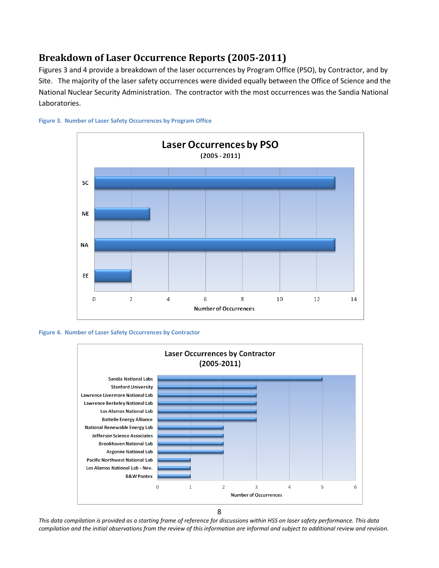# <span id="page-7-0"></span>**Breakdown of Laser Occurrence Reports (2005-2011)**

Figures 3 and 4 provide a breakdown of the laser occurrences by Program Office (PSO), by Contractor, and by Site. The majority of the laser safety occurrences were divided equally between the Office of Science and the National Nuclear Security Administration. The contractor with the most occurrences was the Sandia National Laboratories.









<sup>8</sup>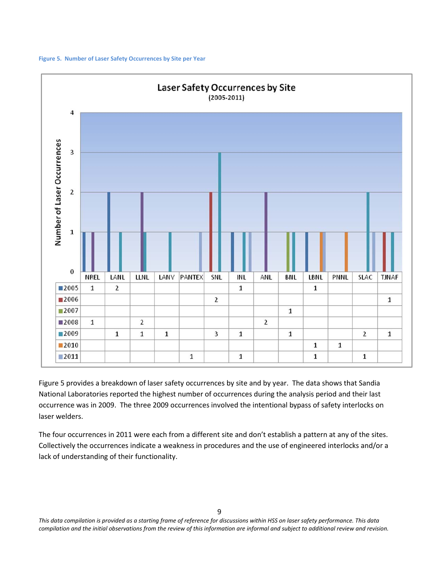



Figure 5 provides a breakdown of laser safety occurrences by site and by year. The data shows that Sandia National Laboratories reported the highest number of occurrences during the analysis period and their last occurrence was in 2009. The three 2009 occurrences involved the intentional bypass of safety interlocks on laser welders.

The four occurrences in 2011 were each from a different site and don't establish a pattern at any of the sites. Collectively the occurrences indicate a weakness in procedures and the use of engineered interlocks and/or a lack of understanding of their functionality.

9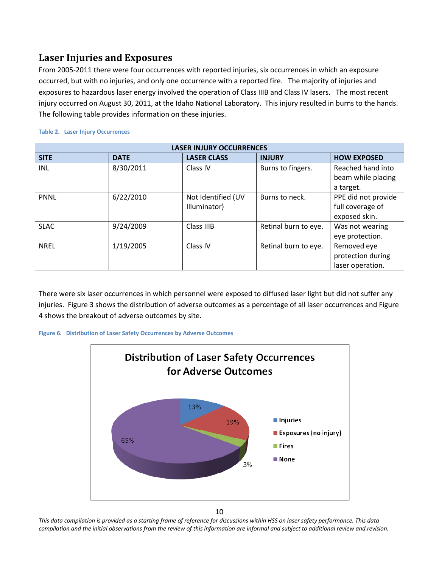### <span id="page-9-0"></span>**Laser Injuries and Exposures**

From 2005-2011 there were four occurrences with reported injuries, six occurrences in which an exposure occurred, but with no injuries, and only one occurrence with a reported fire. The majority of injuries and exposures to hazardous laser energy involved the operation of Class IIIB and Class IV lasers. The most recent injury occurred on August 30, 2011, at the Idaho National Laboratory. This injury resulted in burns to the hands. The following table provides information on these injuries.

| <b>LASER INJURY OCCURRENCES</b> |             |                                    |                      |                                                          |  |  |  |
|---------------------------------|-------------|------------------------------------|----------------------|----------------------------------------------------------|--|--|--|
| <b>SITE</b>                     | <b>DATE</b> | <b>LASER CLASS</b>                 | <b>INJURY</b>        | <b>HOW EXPOSED</b>                                       |  |  |  |
| INL                             | 8/30/2011   | Class IV                           | Burns to fingers.    | Reached hand into<br>beam while placing<br>a target.     |  |  |  |
| <b>PNNL</b>                     | 6/22/2010   | Not Identified (UV<br>Illuminator) | Burns to neck.       | PPE did not provide<br>full coverage of<br>exposed skin. |  |  |  |
| <b>SLAC</b>                     | 9/24/2009   | Class IIIB                         | Retinal burn to eye. | Was not wearing<br>eye protection.                       |  |  |  |
| <b>NREL</b>                     | 1/19/2005   | Class IV                           | Retinal burn to eye. | Removed eye<br>protection during<br>laser operation.     |  |  |  |

#### **Table 2. Laser Injury Occurrences**

There were six laser occurrences in which personnel were exposed to diffused laser light but did not suffer any injuries. Figure 3 shows the distribution of adverse outcomes as a percentage of all laser occurrences and Figure 4 shows the breakout of adverse outcomes by site.





10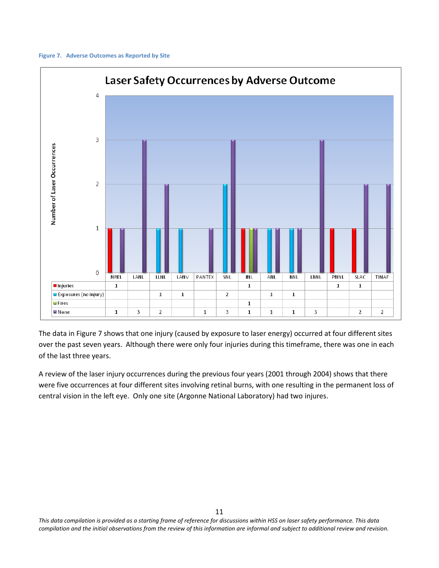#### **Figure 7. Adverse Outcomes as Reported by Site**



The data in Figure 7 shows that one injury (caused by exposure to laser energy) occurred at four different sites over the past seven years. Although there were only four injuries during this timeframe, there was one in each of the last three years.

A review of the laser injury occurrences during the previous four years (2001 through 2004) shows that there were five occurrences at four different sites involving retinal burns, with one resulting in the permanent loss of central vision in the left eye. Only one site (Argonne National Laboratory) had two injures.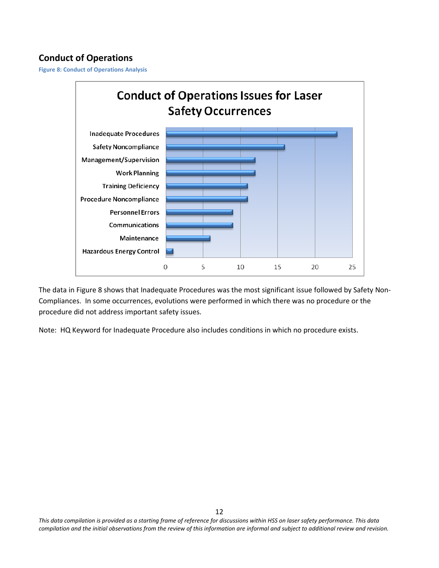## **Conduct of Operations**

**Figure 8: Conduct of Operations Analysis**



The data in Figure 8 shows that Inadequate Procedures was the most significant issue followed by Safety Non-Compliances. In some occurrences, evolutions were performed in which there was no procedure or the procedure did not address important safety issues.

Note: HQ Keyword for Inadequate Procedure also includes conditions in which no procedure exists.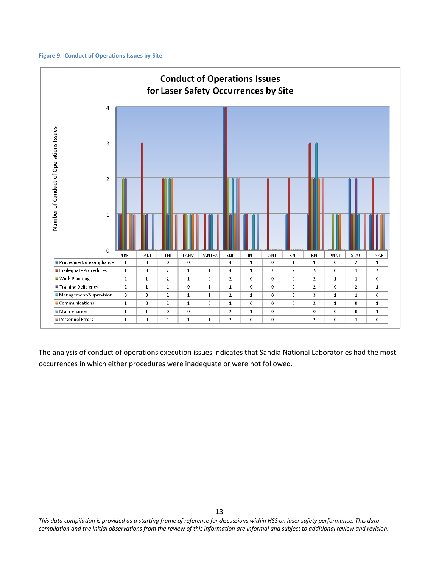#### **Figure 9. Conduct of Operations Issues by Site**



The analysis of conduct of operations execution issues indicates that Sandia National Laboratories had the most occurrences in which either procedures were inadequate or were not followed.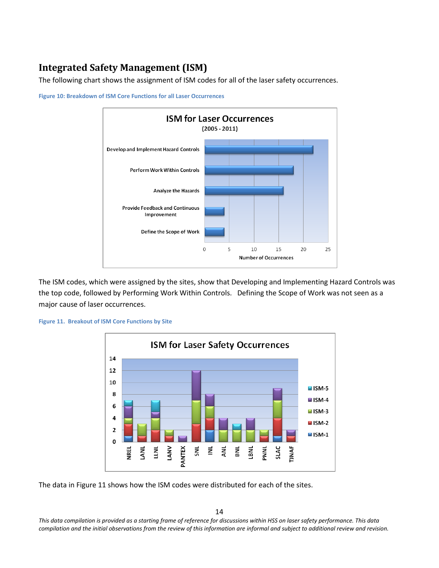# <span id="page-13-0"></span>**Integrated Safety Management (ISM)**

The following chart shows the assignment of ISM codes for all of the laser safety occurrences.



**Figure 10: Breakdown of ISM Core Functions for all Laser Occurrences**

The ISM codes, which were assigned by the sites, show that Developing and Implementing Hazard Controls was the top code, followed by Performing Work Within Controls. Defining the Scope of Work was not seen as a major cause of laser occurrences.

#### **Figure 11. Breakout of ISM Core Functions by Site**



The data in Figure 11 shows how the ISM codes were distributed for each of the sites.

14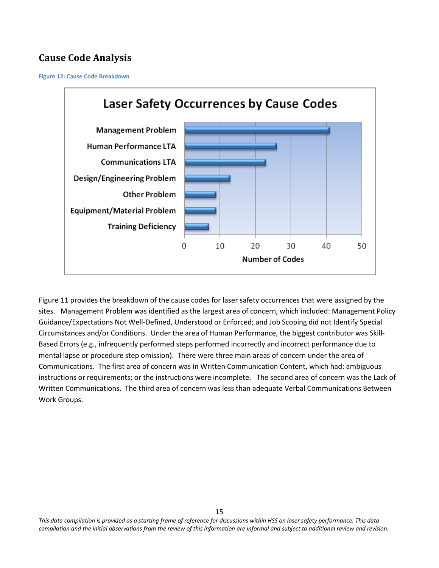## <span id="page-14-0"></span>**Cause Code Analysis**

**Figure 12: Cause Code Breakdown**



Figure 11 provides the breakdown of the cause codes for laser safety occurrences that were assigned by the sites. Management Problem was identified as the largest area of concern, which included: Management Policy Guidance/Expectations Not Well-Defined, Understood or Enforced; and Job Scoping did not Identify Special Circumstances and/or Conditions. Under the area of Human Performance, the biggest contributor was Skill-Based Errors (e.g., infrequently performed steps performed incorrectly and incorrect performance due to mental lapse or procedure step omission). There were three main areas of concern under the area of Communications. The first area of concern was in Written Communication Content, which had: ambiguous instructions or requirements; or the instructions were incomplete. The second area of concern was the Lack of Written Communications. The third area of concern was less than adequate Verbal Communications Between Work Groups.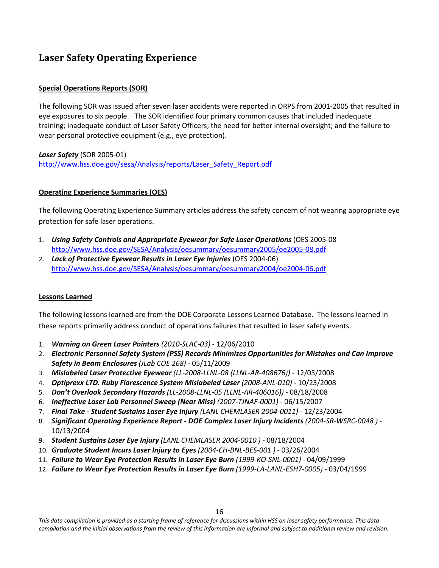## <span id="page-15-0"></span>**Laser Safety Operating Experience**

### **Special Operations Reports (SOR)**

The following SOR was issued after seven laser accidents were reported in ORPS from 2001-2005 that resulted in eye exposures to six people. The SOR identified four primary common causes that included inadequate training; inadequate conduct of Laser Safety Officers; the need for better internal oversight; and the failure to wear personal protective equipment (e.g., eye protection).

*Laser Safety* (SOR 2005-01) [http://www.hss.doe.gov/sesa/Analysis/reports/Laser\\_Safety\\_Report.pdf](http://www.hss.doe.gov/sesa/Analysis/reports/Laser_Safety_Report.pdf)

### **Operating Experience Summaries (OES)**

The following Operating Experience Summary articles address the safety concern of not wearing appropriate eye protection for safe laser operations.

- 1. *Using Safety Controls and Appropriate Eyewear for Safe Laser Operations* (OES 2005-08 <http://www.hss.doe.gov/SESA/Analysis/oesummary/oesummary2005/oe2005-08.pdf>
- 2. *Lack of Protective Eyewear Results in Laser Eye Injuries* (OES 2004-06) <http://www.hss.doe.gov/SESA/Analysis/oesummary/oesummary2004/oe2004-06.pdf>

#### **Lessons Learned**

The following lessons learned are from the DOE Corporate Lessons Learned Database. The lessons learned in these reports primarily address conduct of operations failures that resulted in laser safety events.

- 1. *[Warning on Green Laser Pointers](https://ll.hss.doe.gov/FoundLesson.asp?mItem=3989&websearch=yes&keyword=laser) (2010-SLAC-03)* 12/06/2010
- 2. *[Electronic Personnel Safety System \(PSS\) Records Minimizes Opportunities for Mistakes and Can Improve](https://ll.hss.doe.gov/FoundLesson.asp?mItem=3420&websearch=yes&keyword=laser)  [Safety in Beam Enclosures](https://ll.hss.doe.gov/FoundLesson.asp?mItem=3420&websearch=yes&keyword=laser) (JLab COE 268)* - 05/11/2009
- 3. *[Mislabeled Laser Protective Eyewear](https://ll.hss.doe.gov/FoundLesson.asp?mItem=3266&websearch=yes&keyword=laser) (LL-2008-LLNL-08 (LLNL-AR-408676))* 12/03/2008
- 4. *[Optiprexx LTD. Ruby Florescence System Mislabeled Laser](https://ll.hss.doe.gov/FoundLesson.asp?mItem=3222&websearch=yes&keyword=laser) (2008-ANL-010)* 10/23/2008
- 5. *Don't Overlook Secondary Hazards [\(LL-2008-LLNL-05 \(LLNL-AR-406016\)\)](https://ll.hss.doe.gov/FoundLesson.asp?mItem=3161&websearch=yes&keyword=laser)* 08/18/2008
- 6. *[Ineffective Laser Lab Personnel Sweep \(Near Miss\)](https://ll.hss.doe.gov/FoundLesson.asp?mItem=2805&websearch=yes&keyword=laser) (2007-TJNAF-0001)* 06/15/2007
- 7. *Final Take - [Student Sustains Laser Eye Injury](https://ll.hss.doe.gov/FoundLesson.asp?mItem=2097&websearch=yes&keyword=laser) (LANL CHEMLASER 2004-0011)* 12/23/2004
- 8. *[Significant Operating Experience Report -](https://ll.hss.doe.gov/FoundLesson.asp?mItem=2039&websearch=yes&keyword=laser) DOE Complex Laser Injury Incidents (2004-SR-WSRC-0048 )* [10/13/2004](https://ll.hss.doe.gov/FoundLesson.asp?mItem=2039&websearch=yes&keyword=laser)
- 9. *[Student Sustains Laser Eye Injury](https://ll.hss.doe.gov/FoundLesson.asp?mItem=1993&websearch=yes&keyword=laser) (LANL CHEMLASER 2004-0010 )* 08/18/2004
- 10. *[Graduate Student Incurs Laser Injury to Eyes](https://ll.hss.doe.gov/FoundLesson.asp?mItem=1906&websearch=yes&keyword=laser) (2004-CH-BNL-BES-001 )* 03/26/2004
- 11. *[Failure to Wear Eye Protection Results in Laser Eye Burn](https://ll.hss.doe.gov/FoundLesson.asp?mItem=322&websearch=yes&keyword=laser) (1999-KO-SNL-0001)* 04/09/1999
- 12. *[Failure to Wear Eye Protection Results in Laser Eye Burn](https://ll.hss.doe.gov/FoundLesson.asp?mItem=333&websearch=yes&keyword=laser) (1999-LA-LANL-ESH7-0005)* 03/04/1999